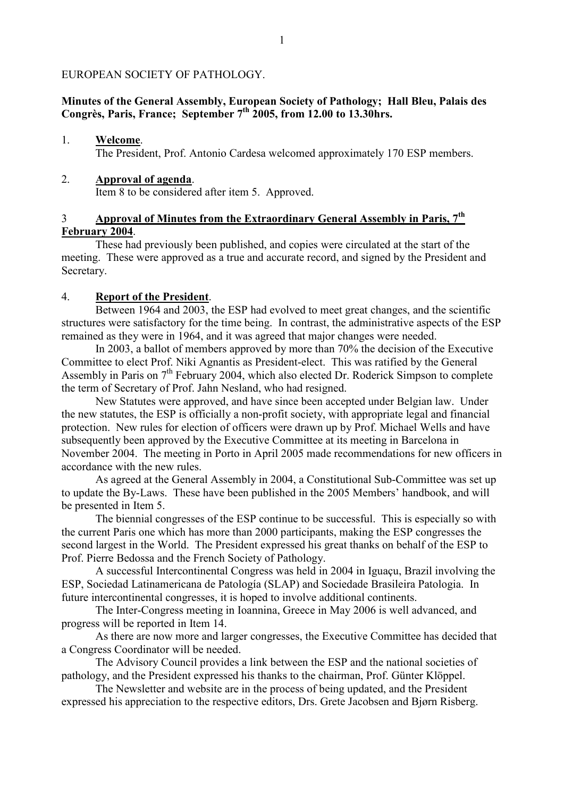#### EUROPEAN SOCIETY OF PATHOLOGY.

#### **Minutes of the General Assembly, European Society of Pathology; Hall Bleu, Palais des Congrès, Paris, France; September 7th 2005, from 12.00 to 13.30hrs.**

#### 1. **Welcome**. The President, Prof. Antonio Cardesa welcomed approximately 170 ESP members.

#### 2. **Approval of agenda**.

Item 8 to be considered after item 5. Approved.

## 3 **Approval of Minutes from the Extraordinary General Assembly in Paris, 7th February 2004**.

 These had previously been published, and copies were circulated at the start of the meeting. These were approved as a true and accurate record, and signed by the President and Secretary.

#### 4. **Report of the President**.

 Between 1964 and 2003, the ESP had evolved to meet great changes, and the scientific structures were satisfactory for the time being. In contrast, the administrative aspects of the ESP remained as they were in 1964, and it was agreed that major changes were needed.

 In 2003, a ballot of members approved by more than 70% the decision of the Executive Committee to elect Prof. Niki Agnantis as President-elect. This was ratified by the General Assembly in Paris on  $7<sup>th</sup>$  February 2004, which also elected Dr. Roderick Simpson to complete the term of Secretary of Prof. Jahn Nesland, who had resigned.

 New Statutes were approved, and have since been accepted under Belgian law. Under the new statutes, the ESP is officially a non-profit society, with appropriate legal and financial protection. New rules for election of officers were drawn up by Prof. Michael Wells and have subsequently been approved by the Executive Committee at its meeting in Barcelona in November 2004. The meeting in Porto in April 2005 made recommendations for new officers in accordance with the new rules.

 As agreed at the General Assembly in 2004, a Constitutional Sub-Committee was set up to update the By-Laws. These have been published in the 2005 Members' handbook, and will be presented in Item 5.

 The biennial congresses of the ESP continue to be successful. This is especially so with the current Paris one which has more than 2000 participants, making the ESP congresses the second largest in the World. The President expressed his great thanks on behalf of the ESP to Prof. Pierre Bedossa and the French Society of Pathology.

 A successful Intercontinental Congress was held in 2004 in Iguaçu, Brazil involving the ESP, Sociedad Latinamericana de Patología (SLAP) and Sociedade Brasileira Patologia. In future intercontinental congresses, it is hoped to involve additional continents.

 The Inter-Congress meeting in Ioannina, Greece in May 2006 is well advanced, and progress will be reported in Item 14.

 As there are now more and larger congresses, the Executive Committee has decided that a Congress Coordinator will be needed.

 The Advisory Council provides a link between the ESP and the national societies of pathology, and the President expressed his thanks to the chairman, Prof. Günter Klöppel.

 The Newsletter and website are in the process of being updated, and the President expressed his appreciation to the respective editors, Drs. Grete Jacobsen and Bjørn Risberg.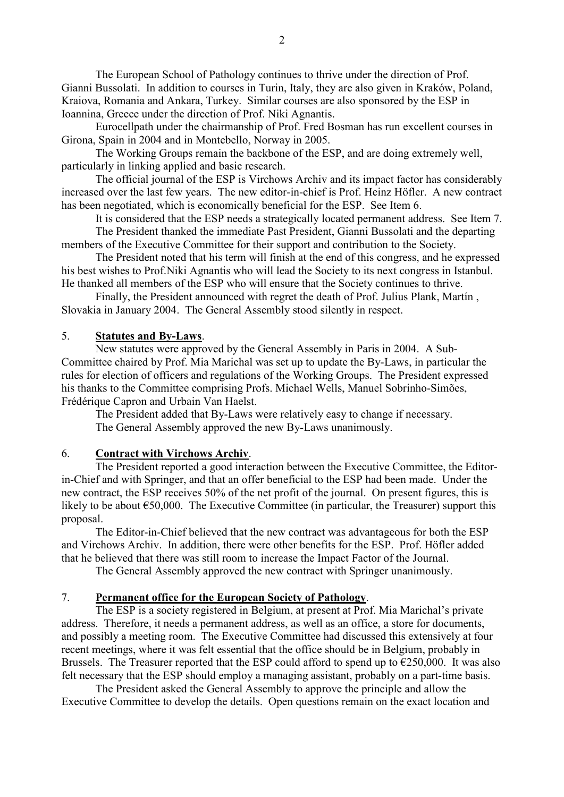The European School of Pathology continues to thrive under the direction of Prof. Gianni Bussolati. In addition to courses in Turin, Italy, they are also given in Kraków, Poland, Kraiova, Romania and Ankara, Turkey. Similar courses are also sponsored by the ESP in Ioannina, Greece under the direction of Prof. Niki Agnantis.

 Eurocellpath under the chairmanship of Prof. Fred Bosman has run excellent courses in Girona, Spain in 2004 and in Montebello, Norway in 2005.

 The Working Groups remain the backbone of the ESP, and are doing extremely well, particularly in linking applied and basic research.

 The official journal of the ESP is Virchows Archiv and its impact factor has considerably increased over the last few years. The new editor-in-chief is Prof. Heinz Höfler. A new contract has been negotiated, which is economically beneficial for the ESP. See Item 6.

It is considered that the ESP needs a strategically located permanent address. See Item 7.

 The President thanked the immediate Past President, Gianni Bussolati and the departing members of the Executive Committee for their support and contribution to the Society.

 The President noted that his term will finish at the end of this congress, and he expressed his best wishes to Prof.Niki Agnantis who will lead the Society to its next congress in Istanbul. He thanked all members of the ESP who will ensure that the Society continues to thrive.

 Finally, the President announced with regret the death of Prof. Julius Plank, Martín , Slovakia in January 2004. The General Assembly stood silently in respect.

#### 5. **Statutes and By-Laws**.

 New statutes were approved by the General Assembly in Paris in 2004. A Sub-Committee chaired by Prof. Mia Marichal was set up to update the By-Laws, in particular the rules for election of officers and regulations of the Working Groups. The President expressed his thanks to the Committee comprising Profs. Michael Wells, Manuel Sobrinho-Simões, Frédérique Capron and Urbain Van Haelst.

 The President added that By-Laws were relatively easy to change if necessary. The General Assembly approved the new By-Laws unanimously.

#### 6. **Contract with Virchows Archiv**.

 The President reported a good interaction between the Executive Committee, the Editorin-Chief and with Springer, and that an offer beneficial to the ESP had been made. Under the new contract, the ESP receives 50% of the net profit of the journal. On present figures, this is likely to be about  $\epsilon$ 50,000. The Executive Committee (in particular, the Treasurer) support this proposal.

 The Editor-in-Chief believed that the new contract was advantageous for both the ESP and Virchows Archiv. In addition, there were other benefits for the ESP. Prof. Höfler added that he believed that there was still room to increase the Impact Factor of the Journal.

The General Assembly approved the new contract with Springer unanimously.

#### 7. **Permanent office for the European Society of Pathology**.

 The ESP is a society registered in Belgium, at present at Prof. Mia Marichal's private address. Therefore, it needs a permanent address, as well as an office, a store for documents, and possibly a meeting room. The Executive Committee had discussed this extensively at four recent meetings, where it was felt essential that the office should be in Belgium, probably in Brussels. The Treasurer reported that the ESP could afford to spend up to  $\epsilon$ 250,000. It was also felt necessary that the ESP should employ a managing assistant, probably on a part-time basis.

 The President asked the General Assembly to approve the principle and allow the Executive Committee to develop the details. Open questions remain on the exact location and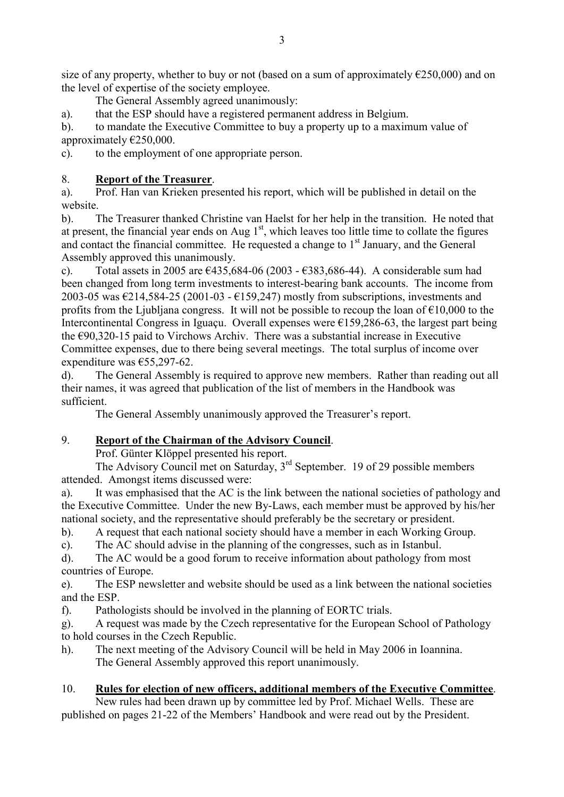size of any property, whether to buy or not (based on a sum of approximately  $\epsilon$ 250,000) and on the level of expertise of the society employee.

The General Assembly agreed unanimously:

a). that the ESP should have a registered permanent address in Belgium.

b). to mandate the Executive Committee to buy a property up to a maximum value of approximately €250,000.

c). to the employment of one appropriate person.

## 8. **Report of the Treasurer**.

a). Prof. Han van Krieken presented his report, which will be published in detail on the website.

b). The Treasurer thanked Christine van Haelst for her help in the transition. He noted that at present, the financial year ends on Aug  $1<sup>st</sup>$ , which leaves too little time to collate the figures and contact the financial committee. He requested a change to  $1<sup>st</sup>$  January, and the General Assembly approved this unanimously.

c). Total assets in 2005 are  $\epsilon$ 435,684-06 (2003 -  $\epsilon$ 383,686-44). A considerable sum had been changed from long term investments to interest-bearing bank accounts. The income from 2003-05 was  $\epsilon$ 214,584-25 (2001-03 -  $\epsilon$ 159,247) mostly from subscriptions, investments and profits from the Ljubliana congress. It will not be possible to recoup the loan of  $\epsilon$ 10,000 to the Intercontinental Congress in Iguaçu. Overall expenses were  $\epsilon$ 159,286-63, the largest part being the €90,320-15 paid to Virchows Archiv. There was a substantial increase in Executive Committee expenses, due to there being several meetings. The total surplus of income over expenditure was €55,297-62.

d). The General Assembly is required to approve new members. Rather than reading out all their names, it was agreed that publication of the list of members in the Handbook was sufficient.

The General Assembly unanimously approved the Treasurer's report.

## 9. **Report of the Chairman of the Advisory Council**.

Prof. Günter Klöppel presented his report.

 The Advisory Council met on Saturday, 3rd September. 19 of 29 possible members attended. Amongst items discussed were:

a). It was emphasised that the AC is the link between the national societies of pathology and the Executive Committee. Under the new By-Laws, each member must be approved by his/her national society, and the representative should preferably be the secretary or president.

b). A request that each national society should have a member in each Working Group.

c). The AC should advise in the planning of the congresses, such as in Istanbul.

d). The AC would be a good forum to receive information about pathology from most countries of Europe.

e). The ESP newsletter and website should be used as a link between the national societies and the ESP.

f). Pathologists should be involved in the planning of EORTC trials.

g). A request was made by the Czech representative for the European School of Pathology to hold courses in the Czech Republic.

h). The next meeting of the Advisory Council will be held in May 2006 in Ioannina. The General Assembly approved this report unanimously.

## 10. **Rules for election of new officers, additional members of the Executive Committee**.

 New rules had been drawn up by committee led by Prof. Michael Wells. These are published on pages 21-22 of the Members' Handbook and were read out by the President.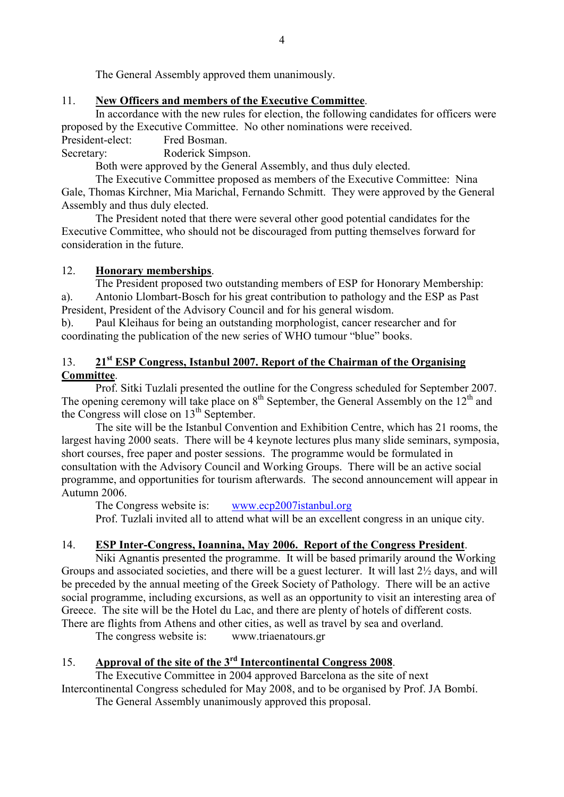The General Assembly approved them unanimously.

## 11. **3ew Officers and members of the Executive Committee**.

 In accordance with the new rules for election, the following candidates for officers were proposed by the Executive Committee. No other nominations were received.

President-elect: Fred Bosman.

Secretary: Roderick Simpson.

Both were approved by the General Assembly, and thus duly elected.

 The Executive Committee proposed as members of the Executive Committee: Nina Gale, Thomas Kirchner, Mia Marichal, Fernando Schmitt. They were approved by the General Assembly and thus duly elected.

 The President noted that there were several other good potential candidates for the Executive Committee, who should not be discouraged from putting themselves forward for consideration in the future.

## 12. **Honorary memberships**.

 The President proposed two outstanding members of ESP for Honorary Membership: a). Antonio Llombart-Bosch for his great contribution to pathology and the ESP as Past President, President of the Advisory Council and for his general wisdom.

b). Paul Kleihaus for being an outstanding morphologist, cancer researcher and for coordinating the publication of the new series of WHO tumour "blue" books.

## 13. **21st ESP Congress, Istanbul 2007. Report of the Chairman of the Organising Committee**.

 Prof. Sitki Tuzlali presented the outline for the Congress scheduled for September 2007. The opening ceremony will take place on  $8<sup>th</sup>$  September, the General Assembly on the 12<sup>th</sup> and the Congress will close on 13<sup>th</sup> September.

 The site will be the Istanbul Convention and Exhibition Centre, which has 21 rooms, the largest having 2000 seats. There will be 4 keynote lectures plus many slide seminars, symposia, short courses, free paper and poster sessions. The programme would be formulated in consultation with the Advisory Council and Working Groups. There will be an active social programme, and opportunities for tourism afterwards. The second announcement will appear in Autumn 2006.

The Congress website is: www.ecp2007istanbul.org

Prof. Tuzlali invited all to attend what will be an excellent congress in an unique city.

## 14. **ESP Inter-Congress, Ioannina, May 2006. Report of the Congress President**.

 Niki Agnantis presented the programme. It will be based primarily around the Working Groups and associated societies, and there will be a guest lecturer. It will last 2½ days, and will be preceded by the annual meeting of the Greek Society of Pathology. There will be an active social programme, including excursions, as well as an opportunity to visit an interesting area of Greece. The site will be the Hotel du Lac, and there are plenty of hotels of different costs. There are flights from Athens and other cities, as well as travel by sea and overland.

The congress website is: www.triaenatours.gr

## 15. **Approval of the site of the 3rd Intercontinental Congress 2008**.

The Executive Committee in 2004 approved Barcelona as the site of next

Intercontinental Congress scheduled for May 2008, and to be organised by Prof. JA Bombí. The General Assembly unanimously approved this proposal.